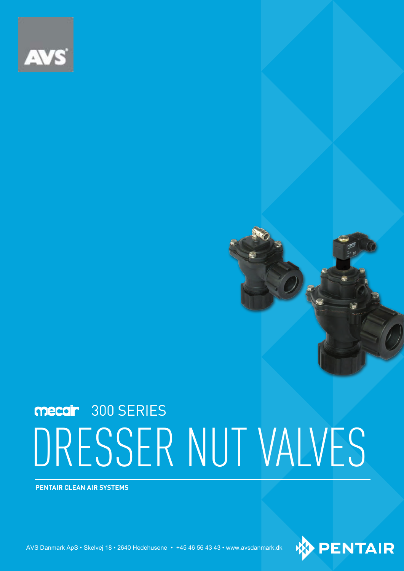

# DRESSER NUT VALVES mecair 300 SERIES

**PENTAIR CLEAN AIR SYSTEMS**

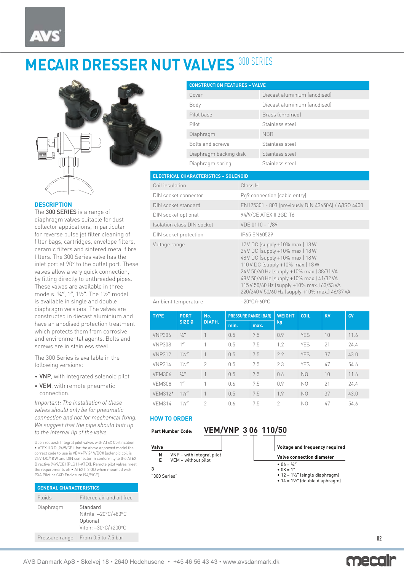## **MECAIR DRESSER NUT VALVES 300 SERIES**



## **DESCRIPTION**

The 300 SERIES is a range of diaphragm valves suitable for dust collector applications, in particular for reverse pulse jet filter cleaning of filter bags, cartridges, envelope filters, ceramic filters and sintered metal fibre filters. The 300 Series valve has the inlet port at 90° to the outlet port. These valves allow a very quick connection, by fitting directly to unthreaded pipes. These valves are available in three models: ¾″, 1″, 1½″. The 1½″ model is available in single and double diaphragm versions. The valves are constructed in diecast aluminium and have an anodised protection treatment which protects them from corrosive and environmental agents. Bolts and screws are in stainless steel.

The 300 Series is available in the following versions:

- VNP, with integrated solenoid pilot
- VEM, with remote pneumatic connection.

*Important: The installation of these valves should only be for pneumatic connection and not for mechanical fixing. We suggest that the pipe should butt up to the internal lip of the valve.* 

Upon request: Integral pilot valves with ATEX Certification: • ATEX II 3 D (94/9/CE); for the above approved model the correct code to use is VEM+PV 24 V/DCX (solenoid coil is 24 V-DC/18 W and DIN connector in conformity to the ATEX Directive 94/9/CE) (PLG11-ATEX). Remote pilot valves meet the requirements of: • ATEX II 2 GD when mounted with PXA Pilot or CXD Enclosure (94/9/CE).

| <b>GENERAL CHARACTERISTICS</b> |                                                                     |  |  |  |  |  |  |
|--------------------------------|---------------------------------------------------------------------|--|--|--|--|--|--|
| Fluids                         | Filtered air and oil free                                           |  |  |  |  |  |  |
| Diaphragm                      | Standard<br>Nitrile: -20°C/+80°C<br>Optional<br>Viton: -30°C/+200°C |  |  |  |  |  |  |
| Pressure range                 | From 0.5 to 7.5 bar                                                 |  |  |  |  |  |  |

| <b>CONSTRUCTION FEATURES - VALVE</b> |                              |  |  |  |  |  |  |
|--------------------------------------|------------------------------|--|--|--|--|--|--|
| Cover                                | Diecast aluminium (anodised) |  |  |  |  |  |  |
| Body                                 | Diecast aluminium (anodised) |  |  |  |  |  |  |
| Pilot base                           | Brass (chromed)              |  |  |  |  |  |  |
| Pilot                                | Stainless steel              |  |  |  |  |  |  |
| Diaphragm                            | <b>NBR</b>                   |  |  |  |  |  |  |
| Bolts and screws                     | Stainless steel              |  |  |  |  |  |  |
| Diaphragm backing disk               | Stainless steel              |  |  |  |  |  |  |
| Diaphragm spring                     | Stainless steel              |  |  |  |  |  |  |

## **ELECTRICAL CHARACTERISTICS – SOLENOID**

| Coil insulation            | Class H                                                                                                                                                                                                                                                                                                                             |
|----------------------------|-------------------------------------------------------------------------------------------------------------------------------------------------------------------------------------------------------------------------------------------------------------------------------------------------------------------------------------|
| DIN socket connector       | Pq9 connection (cable entry)                                                                                                                                                                                                                                                                                                        |
| DIN socket standard        | EN175301 - 803 (previously DIN 43650A) / A/ISO 4400                                                                                                                                                                                                                                                                                 |
| DIN socket optional        | 94/9/CE ATEX II 3GD T6                                                                                                                                                                                                                                                                                                              |
| Isolation class DIN socket | VDE 0110 - 1/89                                                                                                                                                                                                                                                                                                                     |
| DIN socket protection      | IP65 EN60529                                                                                                                                                                                                                                                                                                                        |
| Voltage range              | 12 V DC (supply +10% max.) 18 W<br>24 V DC (supply +10% max.) 18 W<br>48 V DC (supply +10% max.) 18 W<br>110 V DC (supply +10% max.) 18 W<br>24 V 50/60 Hz (supply +10% max.) 38/31 VA<br>48 V 50/60 Hz (supply +10% max.) 41/32 VA<br>115 V 50/60 Hz (supply +10% max.) 63/53 VA<br>220/240 V 50/60 Hz (supply +10% max.) 46/37 VA |

### Ambient temperature −20°C/+60°C

| <b>TYPE</b>   | <b>PORT</b><br>SIZE <sub>0</sub> | No.<br>DIAPH.  | <b>PRESSURE RANGE (BAR)</b> |      | <b>WEIGHT</b> | <b>COIL</b>    | <b>KV</b> | CVI  |  |
|---------------|----------------------------------|----------------|-----------------------------|------|---------------|----------------|-----------|------|--|
|               |                                  |                | min.                        | max. | kg            |                |           |      |  |
| <b>VNP306</b> | 3/4''                            |                | 0.5                         | 7.5  | 0.9           | <b>YES</b>     | 10        | 11.6 |  |
| <b>VNP308</b> | 1''                              |                | 0.5                         | 7.5  | 1.2           | <b>YFS</b>     | 21        | 24.4 |  |
| <b>VNP312</b> | 11/2''                           |                | 0.5                         | 7.5  | 2.2           | <b>YFS</b>     | 37        | 43.0 |  |
| <b>VNP314</b> | $1\frac{1}{2}$                   | $\mathcal{P}$  | 0.5                         | 7.5  | 2.3           | <b>YFS</b>     | 47        | 54.6 |  |
| <b>VEM306</b> | 3/4''                            | 1              | 0.5                         | 7.5  | 0.6           | N <sub>0</sub> | 10        | 11.6 |  |
| <b>VFM308</b> | 1''                              |                | 0.6                         | 7.5  | 0.9           | N <sub>0</sub> | 21        | 74.4 |  |
| VFM312*       | 11/2''                           | 1              | 0.5                         | 7.5  | 1.9           | N <sub>0</sub> | 37        | 43.0 |  |
| <b>VEM314</b> | 11/2''                           | $\mathfrak{D}$ | 0.6                         | 7.5  | $\mathcal{P}$ | N <sub>0</sub> | 47        | 54.6 |  |

### **HOW TO ORDER**

**Part Number Code:**

**N** VNP – with integral pilot<br>**E** VEM – without pilot **E** VEM – without pilot



**Valve connection diameter**

**Valve**

**3**

"300 Series"

- $06 = \frac{3}{4}$ •  $\overline{08} = 1$
- 12 = 1½″ (single diaphragm) 14 = 1½″ (double diaphragm)

**Voltage and frequency required**

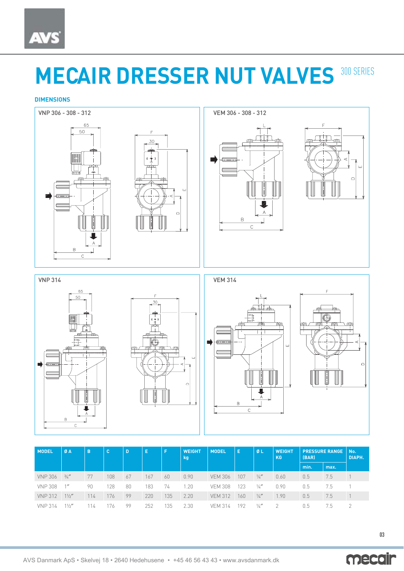## **MECAIR DRESSER NUT VALVES 300 SERIES**

## **DIMENSIONS**



| <b>MODEL</b>   | ØA     | B   | c   | Ð  | E   | Æ   | <b>WEIGHT</b><br>kg | <b>MODEL</b>   | -E  | ØL            | <b>WEIGHT</b><br><b>KG</b> | <b>PRESSURE RANGE</b><br>(BAR) |      | No.<br>DIAPH. |
|----------------|--------|-----|-----|----|-----|-----|---------------------|----------------|-----|---------------|----------------------------|--------------------------------|------|---------------|
|                |        |     |     |    |     |     |                     |                |     |               |                            | min.                           | max. |               |
| <b>VNP 306</b> | 3/4''  | 77  | 108 | 67 | 167 | 60  | 0.90                | <b>VEM 306</b> | 107 | $\frac{1}{4}$ | 0.60                       | 0.5                            | 7.5  |               |
| <b>VNP 308</b> | 1''    | 90  | 128 | 80 | 183 | 74  | 1.20                | <b>VEM 308</b> | 123 | $\frac{1}{4}$ | 0.90                       | 0.5                            | 7.5  |               |
| <b>VNP 312</b> | 11/2'' | 114 | 176 | 99 | 220 | 135 | 2.20                | <b>VEM 312</b> | 160 | $\frac{1}{4}$ | 1.90                       | 0.5                            | 7.5  |               |
| <b>VNP 314</b> | 11/2'' | 114 | 76  | 99 | 252 | 35  | 2.30                | <b>VFM 314</b> | 192 | $\frac{1}{4}$ |                            | 0.5                            | 7.5  |               |

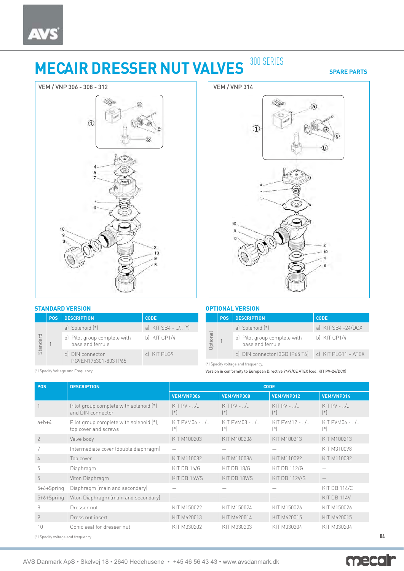## **MECAIR DRESSER NUT VALVES** 300 SERIES

**SPARE PARTS**



## **STANDARD VERSION**

|          | <b>POS</b> | <b>DESCRIPTION</b>                               | <b>CODE</b>                              |
|----------|------------|--------------------------------------------------|------------------------------------------|
| Standard |            | a) Solenoid (*)                                  | a) KIT SB4 - / $(*)$                     |
|          |            | b) Pilot group complete with<br>base and ferrule | b) KIT CP1/4                             |
|          |            |                                                  | c) DIN connector<br>PG9EN175301-803 IP65 |



## **OPTIONAL VERSION**

|              | POS: | <b>DESCRIPTION</b>                                   | <b>CODE</b>        |
|--------------|------|------------------------------------------------------|--------------------|
|              |      | a) Solenoid (*)                                      | a) KIT SB4 -24/DCX |
| ptional<br>ō |      | b) Pilot group complete with<br>base and ferrule     | b) KIT CP1/4       |
|              |      | c) DIN connector (3GD IP65 T6)   c) KIT PLG11 - ATEX |                    |

(\*) Specify voltage and frequency.

Version in conformity to European Directive 94/9/CE ATEX (cod. KIT PV-24/DCX)

| <b>POS</b>                         | <b>DESCRIPTION</b>                                              | <b>CODE</b>                   |                            |                                  |                                |  |  |
|------------------------------------|-----------------------------------------------------------------|-------------------------------|----------------------------|----------------------------------|--------------------------------|--|--|
|                                    |                                                                 | VEM/VNP306                    | VEM/VNP308                 | VEM/VNP312                       | VEM/VNP314                     |  |  |
|                                    | Pilot group complete with solenoid (*)<br>and DIN connector     | KIT PV - $\ldots$<br>$(*)$    | KIT $PV - 0.1$<br>$[\ast]$ | KIT PV - $\ldots$<br>$(*)$       | KIT $PV - 0.1$<br>$(*)$        |  |  |
| $a+b+4$                            | Pilot group complete with solenoid (*),<br>top cover and screws | $KIT PVM06 - 1/1.$<br>$[ * ]$ | KIT PVM08 - /<br>$[ * ]$   | $KIT$ PVM12 - $.$ / $.$<br>$(*)$ | $KIT$ PVM06 - $1.1$<br>$[ * ]$ |  |  |
| $\mathcal{P}$                      | Valve body                                                      | KIT M100203                   | KIT M100206                | KIT M100213                      | KIT M100213                    |  |  |
|                                    | Intermediate cover (double diaphragm)                           | $\hspace{0.05cm}$             |                            |                                  | KIT M310098                    |  |  |
| 4                                  | Top cover                                                       | KIT M110082                   | KIT M110086                | KIT M110092                      | KIT M110082                    |  |  |
| 5                                  | Diaphragm                                                       | KIT DB 16/G                   | KIT DB 18/G                | <b>KIT DB 112/G</b>              |                                |  |  |
| 5                                  | Viton Diaphragm                                                 | KIT DB 16V/S                  | KIT DB 18V/S               | KIT DB 112V/S                    |                                |  |  |
| $5+6+Spring$                       | Diaphragm (main and secondary)                                  |                               |                            |                                  | <b>KIT DB 114/C</b>            |  |  |
| 5+6+Spring                         | Viton Diaphragm (main and secondary)                            |                               |                            |                                  | KIT DB 114V                    |  |  |
| 8                                  | Dresser nut                                                     | KIT M150022                   | KIT M150024                | KIT M150026                      | KIT M150026                    |  |  |
| 9                                  | Dress nut insert                                                | KIT M620013                   | KIT M620014                | KIT M620015                      | KIT M620015                    |  |  |
| 10                                 | Conic seal for dresser nut                                      | KIT M330202                   | KIT M330203                | KIT M330204                      | KIT M330204                    |  |  |
| (*) Specify voltage and frequency. |                                                                 |                               |                            |                                  |                                |  |  |

(\*) Specify Voltage and Frequency